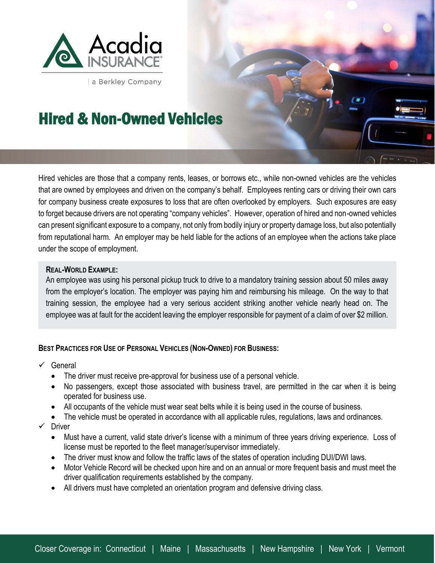

a Berkley Company

## Hired & Non-Owned Vehicles

Hired vehicles are those that a company rents, leases, or borrows etc., while non-owned vehicles are the vehicles that are owned by employees and driven on the company's behalf. Employees renting cars or driving their own cars for company business create exposures to loss that are often overlooked by employers. Such exposures are easy to forget because drivers are not operating "company vehicles". However, operation of hired and non-owned vehicles can present significant exposure to a company, not only from bodily injury or property damage loss, but also potentially from reputational harm. An employer may be held liable for the actions of an employee when the actions take place under the scope of employment.

## **REAL-WORLD EXAMPLE:**

An employee was using his personal pickup truck to drive to a mandatory training session about 50 miles away from the employer's location. The employer was paying him and reimbursing his mileage. On the way to that training session, the employee had a very serious accident striking another vehicle nearly head on. The employee was at fault for the accident leaving the employer responsible for payment of a claim of over \$2 million.

## **BEST PRACTICES FOR USE OF PERSONAL VEHICLES (NON-OWNED) FOR BUSINESS:**

 $\checkmark$  General

l.

- The driver must receive pre-approval for business use of a personal vehicle.
- No passengers, except those associated with business travel, are permitted in the car when it is being operated for business use.
- All occupants of the vehicle must wear seat belts while it is being used in the course of business.
- The vehicle must be operated in accordance with all applicable rules, regulations, laws and ordinances.
- $\checkmark$  Driver
	- Must have a current, valid state driver's license with a minimum of three years driving experience. Loss of license must be reported to the fleet manager/supervisor immediately.
	- The driver must know and follow the traffic laws of the states of operation including DUI/DWI laws.
	- Motor Vehicle Record will be checked upon hire and on an annual or more frequent basis and must meet the driver qualification requirements established by the company.
	- All drivers must have completed an orientation program and defensive driving class.